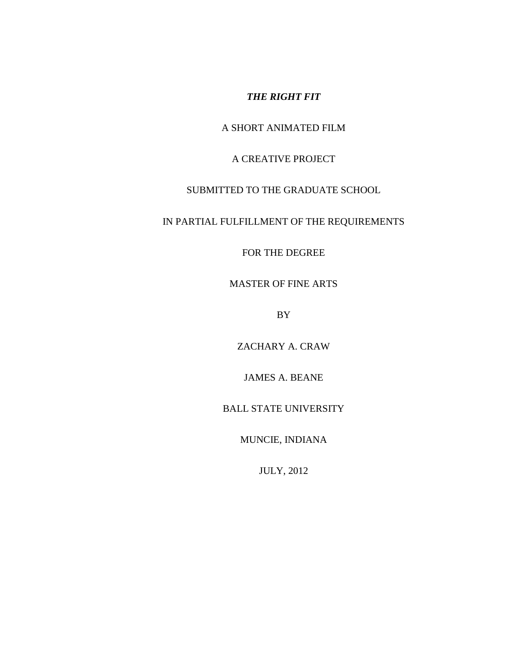*THE RIGHT FIT*

A SHORT ANIMATED FILM

A CREATIVE PROJECT

SUBMITTED TO THE GRADUATE SCHOOL

IN PARTIAL FULFILLMENT OF THE REQUIREMENTS

FOR THE DEGREE

MASTER OF FINE ARTS

BY

ZACHARY A. CRAW

JAMES A. BEANE

BALL STATE UNIVERSITY

MUNCIE, INDIANA

JULY, 2012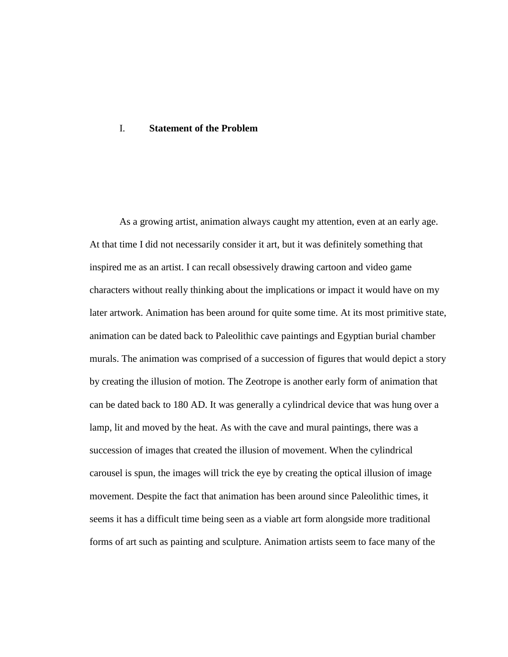## I. **Statement of the Problem**

As a growing artist, animation always caught my attention, even at an early age. At that time I did not necessarily consider it art, but it was definitely something that inspired me as an artist. I can recall obsessively drawing cartoon and video game characters without really thinking about the implications or impact it would have on my later artwork. Animation has been around for quite some time. At its most primitive state, animation can be dated back to Paleolithic cave paintings and Egyptian burial chamber murals. The animation was comprised of a succession of figures that would depict a story by creating the illusion of motion. The Zeotrope is another early form of animation that can be dated back to 180 AD. It was generally a cylindrical device that was hung over a lamp, lit and moved by the heat. As with the cave and mural paintings, there was a succession of images that created the illusion of movement. When the cylindrical carousel is spun, the images will trick the eye by creating the optical illusion of image movement. Despite the fact that animation has been around since Paleolithic times, it seems it has a difficult time being seen as a viable art form alongside more traditional forms of art such as painting and sculpture. Animation artists seem to face many of the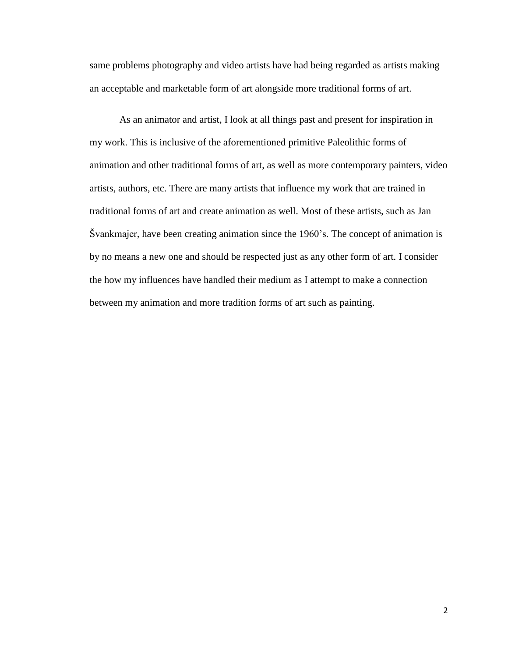same problems photography and video artists have had being regarded as artists making an acceptable and marketable form of art alongside more traditional forms of art.

As an animator and artist, I look at all things past and present for inspiration in my work. This is inclusive of the aforementioned primitive Paleolithic forms of animation and other traditional forms of art, as well as more contemporary painters, video artists, authors, etc. There are many artists that influence my work that are trained in traditional forms of art and create animation as well. Most of these artists, such as Jan Švankmajer, have been creating animation since the 1960's. The concept of animation is by no means a new one and should be respected just as any other form of art. I consider the how my influences have handled their medium as I attempt to make a connection between my animation and more tradition forms of art such as painting.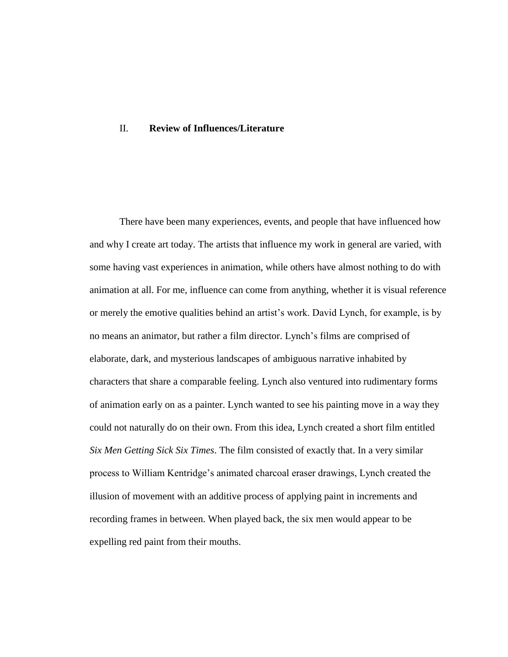## II. **Review of Influences/Literature**

There have been many experiences, events, and people that have influenced how and why I create art today. The artists that influence my work in general are varied, with some having vast experiences in animation, while others have almost nothing to do with animation at all. For me, influence can come from anything, whether it is visual reference or merely the emotive qualities behind an artist's work. David Lynch, for example, is by no means an animator, but rather a film director. Lynch's films are comprised of elaborate, dark, and mysterious landscapes of ambiguous narrative inhabited by characters that share a comparable feeling. Lynch also ventured into rudimentary forms of animation early on as a painter. Lynch wanted to see his painting move in a way they could not naturally do on their own. From this idea, Lynch created a short film entitled *Six Men Getting Sick Six Times*. The film consisted of exactly that. In a very similar process to William Kentridge's animated charcoal eraser drawings, Lynch created the illusion of movement with an additive process of applying paint in increments and recording frames in between. When played back, the six men would appear to be expelling red paint from their mouths.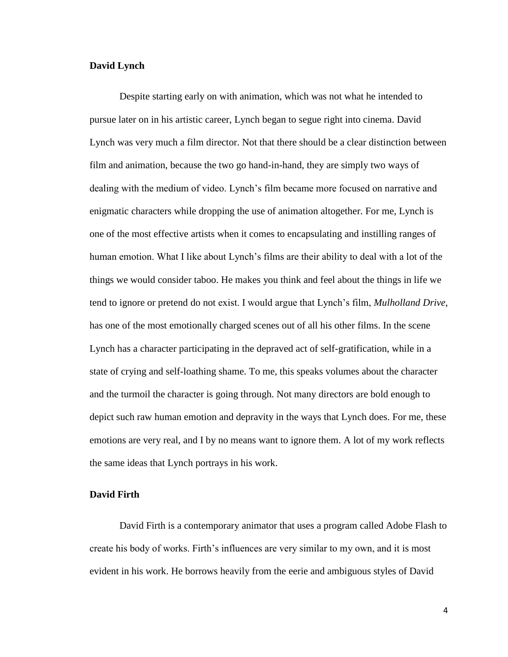### **David Lynch**

Despite starting early on with animation, which was not what he intended to pursue later on in his artistic career, Lynch began to segue right into cinema. David Lynch was very much a film director. Not that there should be a clear distinction between film and animation, because the two go hand-in-hand, they are simply two ways of dealing with the medium of video. Lynch's film became more focused on narrative and enigmatic characters while dropping the use of animation altogether. For me, Lynch is one of the most effective artists when it comes to encapsulating and instilling ranges of human emotion. What I like about Lynch's films are their ability to deal with a lot of the things we would consider taboo. He makes you think and feel about the things in life we tend to ignore or pretend do not exist. I would argue that Lynch's film, *Mulholland Drive*, has one of the most emotionally charged scenes out of all his other films. In the scene Lynch has a character participating in the depraved act of self-gratification, while in a state of crying and self-loathing shame. To me, this speaks volumes about the character and the turmoil the character is going through. Not many directors are bold enough to depict such raw human emotion and depravity in the ways that Lynch does. For me, these emotions are very real, and I by no means want to ignore them. A lot of my work reflects the same ideas that Lynch portrays in his work.

# **David Firth**

David Firth is a contemporary animator that uses a program called Adobe Flash to create his body of works. Firth's influences are very similar to my own, and it is most evident in his work. He borrows heavily from the eerie and ambiguous styles of David

4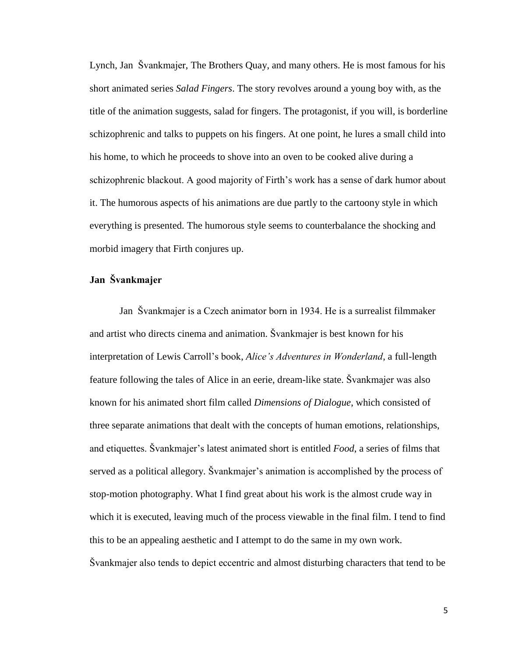Lynch, Jan Švankmajer, The Brothers Quay, and many others. He is most famous for his short animated series *Salad Fingers*. The story revolves around a young boy with, as the title of the animation suggests, salad for fingers. The protagonist, if you will, is borderline schizophrenic and talks to puppets on his fingers. At one point, he lures a small child into his home, to which he proceeds to shove into an oven to be cooked alive during a schizophrenic blackout. A good majority of Firth's work has a sense of dark humor about it. The humorous aspects of his animations are due partly to the cartoony style in which everything is presented. The humorous style seems to counterbalance the shocking and morbid imagery that Firth conjures up.

# **Jan Švankmajer**

Jan Švankmajer is a Czech animator born in 1934. He is a surrealist filmmaker and artist who directs cinema and animation. Švankmajer is best known for his interpretation of Lewis Carroll's book, *Alice's Adventures in Wonderland*, a full-length feature following the tales of Alice in an eerie, dream-like state. Švankmajer was also known for his animated short film called *Dimensions of Dialogue*, which consisted of three separate animations that dealt with the concepts of human emotions, relationships, and etiquettes. Švankmajer's latest animated short is entitled *Food*, a series of films that served as a political allegory. Švankmajer's animation is accomplished by the process of stop-motion photography. What I find great about his work is the almost crude way in which it is executed, leaving much of the process viewable in the final film. I tend to find this to be an appealing aesthetic and I attempt to do the same in my own work. Švankmajer also tends to depict eccentric and almost disturbing characters that tend to be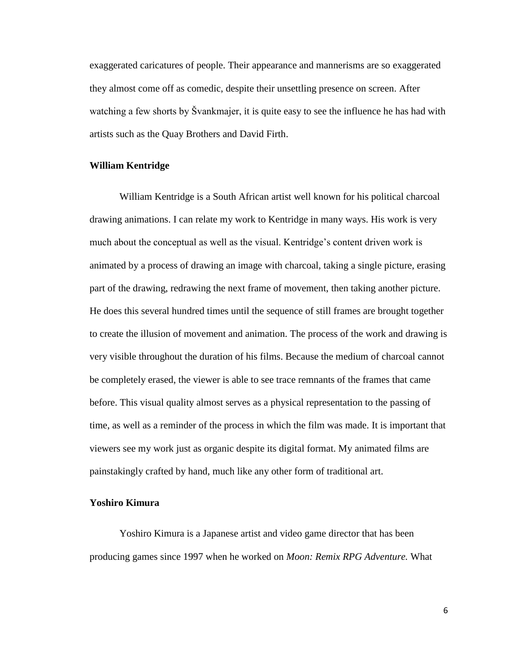exaggerated caricatures of people. Their appearance and mannerisms are so exaggerated they almost come off as comedic, despite their unsettling presence on screen. After watching a few shorts by Švankmajer, it is quite easy to see the influence he has had with artists such as the Quay Brothers and David Firth.

#### **William Kentridge**

William Kentridge is a South African artist well known for his political charcoal drawing animations. I can relate my work to Kentridge in many ways. His work is very much about the conceptual as well as the visual. Kentridge's content driven work is animated by a process of drawing an image with charcoal, taking a single picture, erasing part of the drawing, redrawing the next frame of movement, then taking another picture. He does this several hundred times until the sequence of still frames are brought together to create the illusion of movement and animation. The process of the work and drawing is very visible throughout the duration of his films. Because the medium of charcoal cannot be completely erased, the viewer is able to see trace remnants of the frames that came before. This visual quality almost serves as a physical representation to the passing of time, as well as a reminder of the process in which the film was made. It is important that viewers see my work just as organic despite its digital format. My animated films are painstakingly crafted by hand, much like any other form of traditional art.

## **Yoshiro Kimura**

Yoshiro Kimura is a Japanese artist and video game director that has been producing games since 1997 when he worked on *Moon: Remix RPG Adventure.* What

6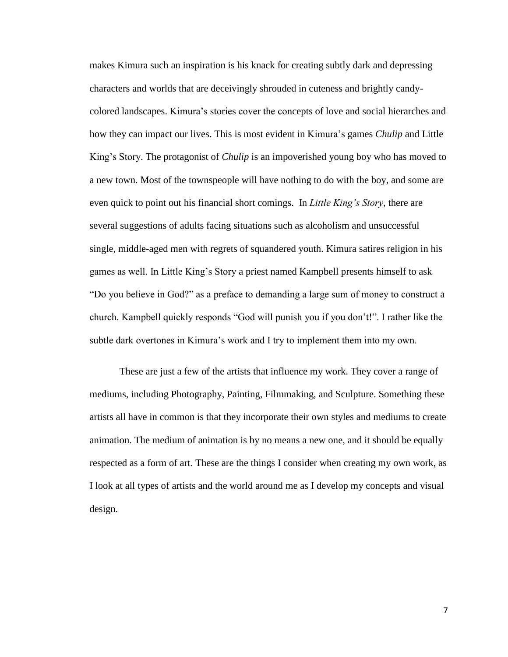makes Kimura such an inspiration is his knack for creating subtly dark and depressing characters and worlds that are deceivingly shrouded in cuteness and brightly candycolored landscapes. Kimura's stories cover the concepts of love and social hierarches and how they can impact our lives. This is most evident in Kimura's games *Chulip* and Little King's Story. The protagonist of *Chulip* is an impoverished young boy who has moved to a new town. Most of the townspeople will have nothing to do with the boy, and some are even quick to point out his financial short comings. In *Little King's Story*, there are several suggestions of adults facing situations such as alcoholism and unsuccessful single, middle-aged men with regrets of squandered youth. Kimura satires religion in his games as well. In Little King's Story a priest named Kampbell presents himself to ask "Do you believe in God?" as a preface to demanding a large sum of money to construct a church. Kampbell quickly responds "God will punish you if you don't!". I rather like the subtle dark overtones in Kimura's work and I try to implement them into my own.

These are just a few of the artists that influence my work. They cover a range of mediums, including Photography, Painting, Filmmaking, and Sculpture. Something these artists all have in common is that they incorporate their own styles and mediums to create animation. The medium of animation is by no means a new one, and it should be equally respected as a form of art. These are the things I consider when creating my own work, as I look at all types of artists and the world around me as I develop my concepts and visual design.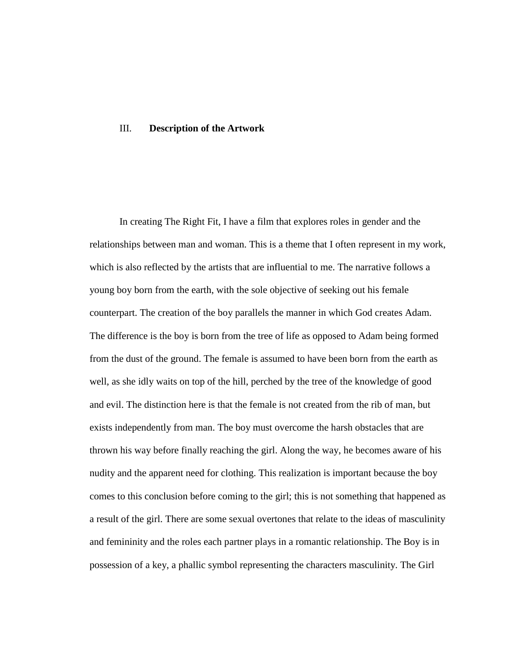### III. **Description of the Artwork**

In creating The Right Fit, I have a film that explores roles in gender and the relationships between man and woman. This is a theme that I often represent in my work, which is also reflected by the artists that are influential to me. The narrative follows a young boy born from the earth, with the sole objective of seeking out his female counterpart. The creation of the boy parallels the manner in which God creates Adam. The difference is the boy is born from the tree of life as opposed to Adam being formed from the dust of the ground. The female is assumed to have been born from the earth as well, as she idly waits on top of the hill, perched by the tree of the knowledge of good and evil. The distinction here is that the female is not created from the rib of man, but exists independently from man. The boy must overcome the harsh obstacles that are thrown his way before finally reaching the girl. Along the way, he becomes aware of his nudity and the apparent need for clothing. This realization is important because the boy comes to this conclusion before coming to the girl; this is not something that happened as a result of the girl. There are some sexual overtones that relate to the ideas of masculinity and femininity and the roles each partner plays in a romantic relationship. The Boy is in possession of a key, a phallic symbol representing the characters masculinity. The Girl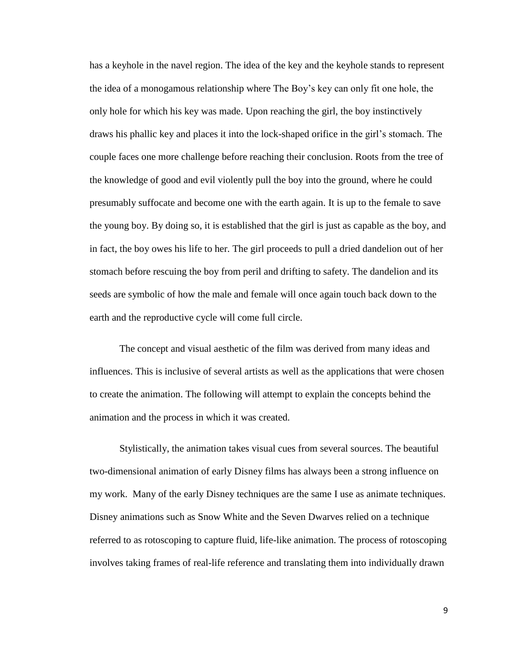has a keyhole in the navel region. The idea of the key and the keyhole stands to represent the idea of a monogamous relationship where The Boy's key can only fit one hole, the only hole for which his key was made. Upon reaching the girl, the boy instinctively draws his phallic key and places it into the lock-shaped orifice in the girl's stomach. The couple faces one more challenge before reaching their conclusion. Roots from the tree of the knowledge of good and evil violently pull the boy into the ground, where he could presumably suffocate and become one with the earth again. It is up to the female to save the young boy. By doing so, it is established that the girl is just as capable as the boy, and in fact, the boy owes his life to her. The girl proceeds to pull a dried dandelion out of her stomach before rescuing the boy from peril and drifting to safety. The dandelion and its seeds are symbolic of how the male and female will once again touch back down to the earth and the reproductive cycle will come full circle.

The concept and visual aesthetic of the film was derived from many ideas and influences. This is inclusive of several artists as well as the applications that were chosen to create the animation. The following will attempt to explain the concepts behind the animation and the process in which it was created.

Stylistically, the animation takes visual cues from several sources. The beautiful two-dimensional animation of early Disney films has always been a strong influence on my work. Many of the early Disney techniques are the same I use as animate techniques. Disney animations such as Snow White and the Seven Dwarves relied on a technique referred to as rotoscoping to capture fluid, life-like animation. The process of rotoscoping involves taking frames of real-life reference and translating them into individually drawn

9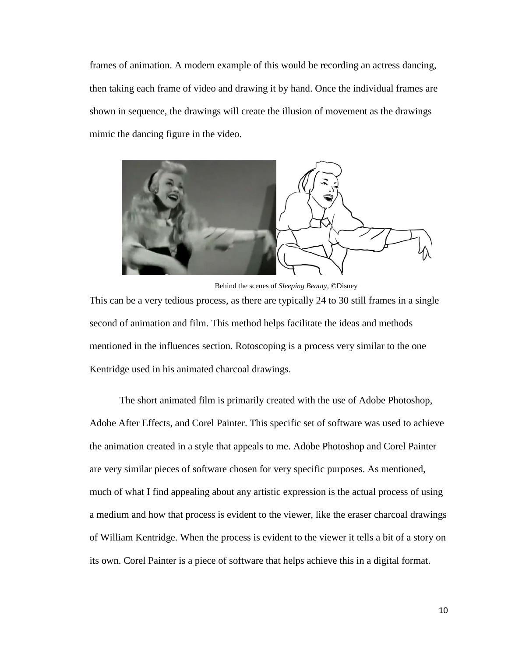frames of animation. A modern example of this would be recording an actress dancing, then taking each frame of video and drawing it by hand. Once the individual frames are shown in sequence, the drawings will create the illusion of movement as the drawings mimic the dancing figure in the video.



Behind the scenes of *Sleeping Beauty*, ©Disney

This can be a very tedious process, as there are typically 24 to 30 still frames in a single second of animation and film. This method helps facilitate the ideas and methods mentioned in the influences section. Rotoscoping is a process very similar to the one Kentridge used in his animated charcoal drawings.

The short animated film is primarily created with the use of Adobe Photoshop, Adobe After Effects, and Corel Painter. This specific set of software was used to achieve the animation created in a style that appeals to me. Adobe Photoshop and Corel Painter are very similar pieces of software chosen for very specific purposes. As mentioned, much of what I find appealing about any artistic expression is the actual process of using a medium and how that process is evident to the viewer, like the eraser charcoal drawings of William Kentridge. When the process is evident to the viewer it tells a bit of a story on its own. Corel Painter is a piece of software that helps achieve this in a digital format.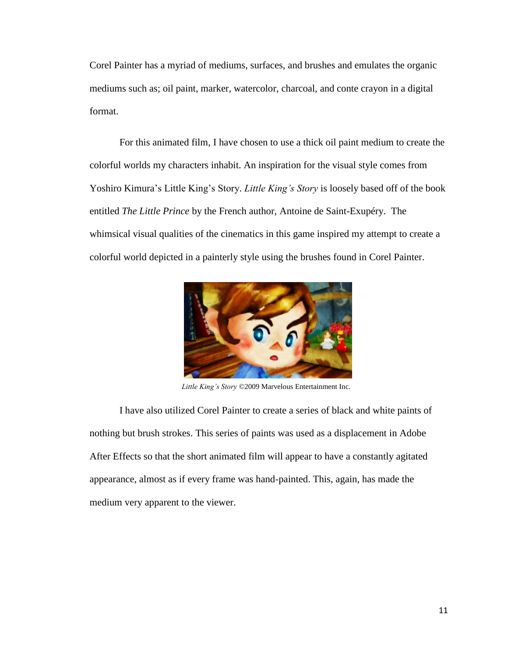Corel Painter has a myriad of mediums, surfaces, and brushes and emulates the organic mediums such as; oil paint, marker, watercolor, charcoal, and conte crayon in a digital format.

For this animated film, I have chosen to use a thick oil paint medium to create the colorful worlds my characters inhabit. An inspiration for the visual style comes from Yoshiro Kimura's Little King's Story. *Little King's Story* is loosely based off of the book entitled *The Little Prince* by the French author, Antoine de Saint-Exupéry. The whimsical visual qualities of the cinematics in this game inspired my attempt to create a colorful world depicted in a painterly style using the brushes found in Corel Painter.



*Little King's Story* ©2009 Marvelous Entertainment Inc.

I have also utilized Corel Painter to create a series of black and white paints of nothing but brush strokes. This series of paints was used as a displacement in Adobe After Effects so that the short animated film will appear to have a constantly agitated appearance, almost as if every frame was hand-painted. This, again, has made the medium very apparent to the viewer.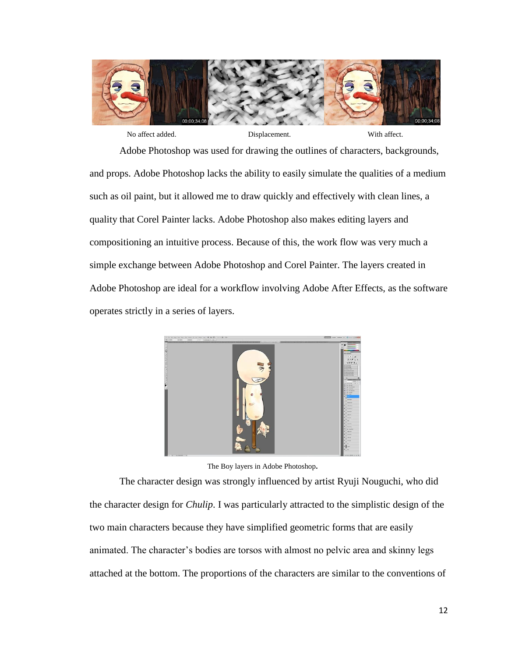

Adobe Photoshop was used for drawing the outlines of characters, backgrounds, and props. Adobe Photoshop lacks the ability to easily simulate the qualities of a medium such as oil paint, but it allowed me to draw quickly and effectively with clean lines, a quality that Corel Painter lacks. Adobe Photoshop also makes editing layers and compositioning an intuitive process. Because of this, the work flow was very much a simple exchange between Adobe Photoshop and Corel Painter. The layers created in Adobe Photoshop are ideal for a workflow involving Adobe After Effects, as the software operates strictly in a series of layers.



The Boy layers in Adobe Photoshop**.** 

The character design was strongly influenced by artist Ryuji Nouguchi, who did the character design for *Chulip*. I was particularly attracted to the simplistic design of the two main characters because they have simplified geometric forms that are easily animated. The character's bodies are torsos with almost no pelvic area and skinny legs attached at the bottom. The proportions of the characters are similar to the conventions of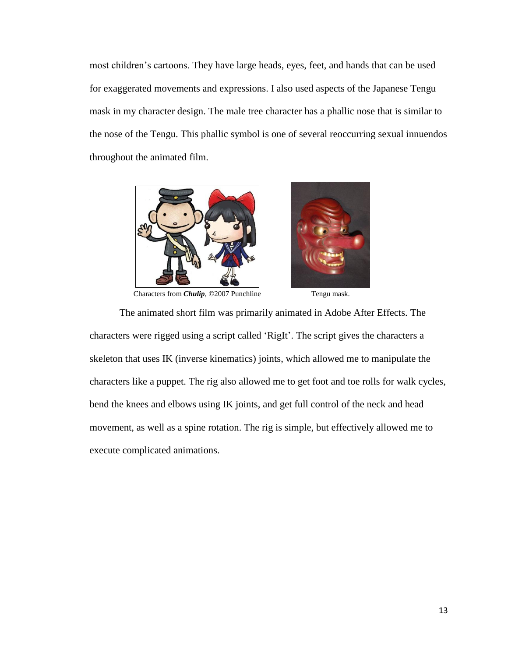most children's cartoons. They have large heads, eyes, feet, and hands that can be used for exaggerated movements and expressions. I also used aspects of the Japanese Tengu mask in my character design. The male tree character has a phallic nose that is similar to the nose of the Tengu. This phallic symbol is one of several reoccurring sexual innuendos throughout the animated film.



Characters from *Chulip*, ©2007 Punchline Tengu mask.



The animated short film was primarily animated in Adobe After Effects. The characters were rigged using a script called 'RigIt'. The script gives the characters a skeleton that uses IK (inverse kinematics) joints, which allowed me to manipulate the characters like a puppet. The rig also allowed me to get foot and toe rolls for walk cycles, bend the knees and elbows using IK joints, and get full control of the neck and head movement, as well as a spine rotation. The rig is simple, but effectively allowed me to execute complicated animations.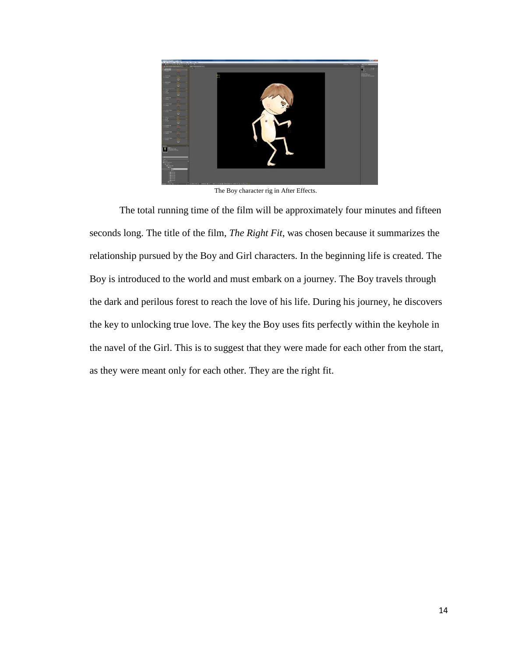

The Boy character rig in After Effects.

The total running time of the film will be approximately four minutes and fifteen seconds long. The title of the film, *The Right Fit*, was chosen because it summarizes the relationship pursued by the Boy and Girl characters. In the beginning life is created. The Boy is introduced to the world and must embark on a journey. The Boy travels through the dark and perilous forest to reach the love of his life. During his journey, he discovers the key to unlocking true love. The key the Boy uses fits perfectly within the keyhole in the navel of the Girl. This is to suggest that they were made for each other from the start, as they were meant only for each other. They are the right fit.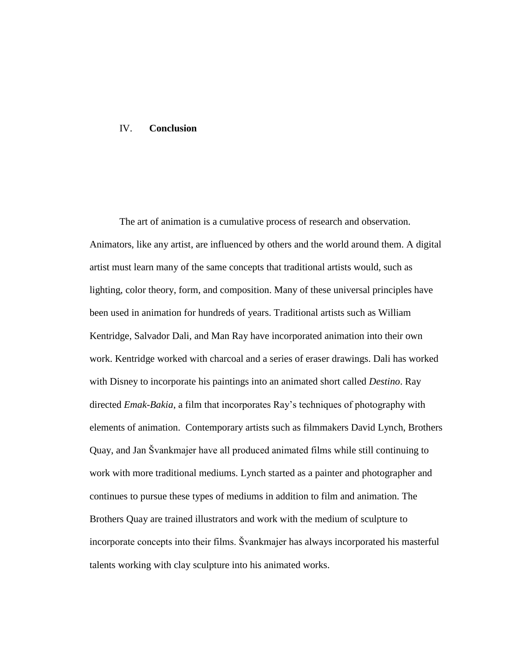## IV. **Conclusion**

The art of animation is a cumulative process of research and observation. Animators, like any artist, are influenced by others and the world around them. A digital artist must learn many of the same concepts that traditional artists would, such as lighting, color theory, form, and composition. Many of these universal principles have been used in animation for hundreds of years. Traditional artists such as William Kentridge, Salvador Dali, and Man Ray have incorporated animation into their own work. Kentridge worked with charcoal and a series of eraser drawings. Dali has worked with Disney to incorporate his paintings into an animated short called *Destino*. Ray directed *Emak-Bakia*, a film that incorporates Ray's techniques of photography with elements of animation. Contemporary artists such as filmmakers David Lynch, Brothers Quay, and Jan Švankmajer have all produced animated films while still continuing to work with more traditional mediums. Lynch started as a painter and photographer and continues to pursue these types of mediums in addition to film and animation. The Brothers Quay are trained illustrators and work with the medium of sculpture to incorporate concepts into their films. Švankmajer has always incorporated his masterful talents working with clay sculpture into his animated works.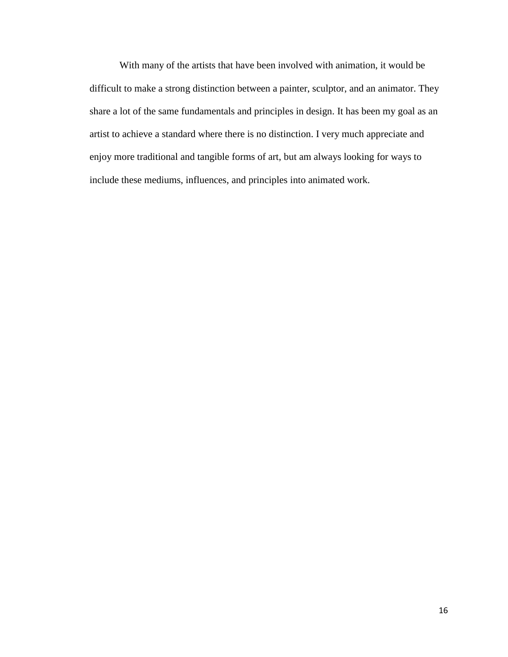With many of the artists that have been involved with animation, it would be difficult to make a strong distinction between a painter, sculptor, and an animator. They share a lot of the same fundamentals and principles in design. It has been my goal as an artist to achieve a standard where there is no distinction. I very much appreciate and enjoy more traditional and tangible forms of art, but am always looking for ways to include these mediums, influences, and principles into animated work.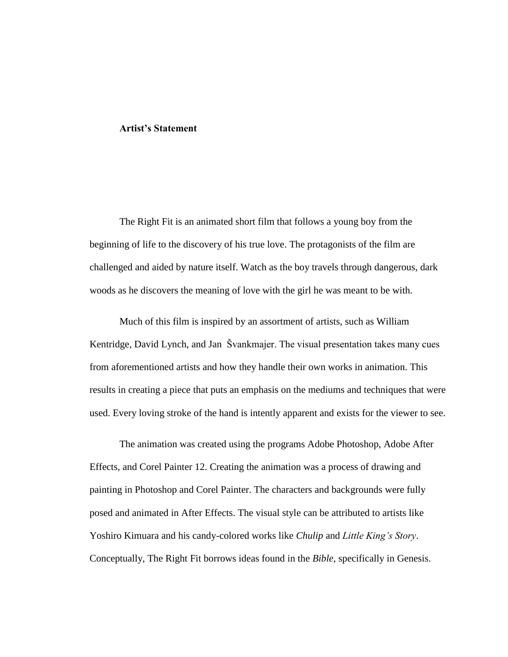## **Artist's Statement**

The Right Fit is an animated short film that follows a young boy from the beginning of life to the discovery of his true love. The protagonists of the film are challenged and aided by nature itself. Watch as the boy travels through dangerous, dark woods as he discovers the meaning of love with the girl he was meant to be with.

Much of this film is inspired by an assortment of artists, such as William Kentridge, David Lynch, and Jan Švankmajer. The visual presentation takes many cues from aforementioned artists and how they handle their own works in animation. This results in creating a piece that puts an emphasis on the mediums and techniques that were used. Every loving stroke of the hand is intently apparent and exists for the viewer to see.

The animation was created using the programs Adobe Photoshop, Adobe After Effects, and Corel Painter 12. Creating the animation was a process of drawing and painting in Photoshop and Corel Painter. The characters and backgrounds were fully posed and animated in After Effects. The visual style can be attributed to artists like Yoshiro Kimuara and his candy-colored works like *Chulip* and *Little King's Story*. Conceptually, The Right Fit borrows ideas found in the *Bible*, specifically in Genesis.